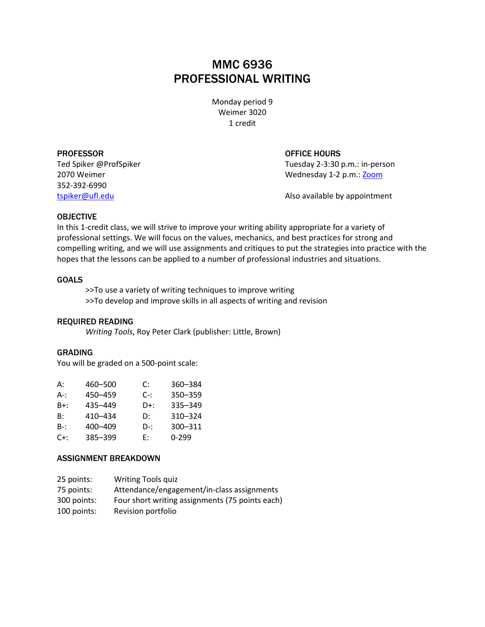# MMC 6936 PROFESSIONAL WRITING

Monday period 9 Weimer 3020 1 credit

PROFESSOR OFFICE HOURS 352-392-6990

Ted Spiker @ProfSpiker Tuesday 2-3:30 p.m.: in-person 2070 Weimer Wednesday 1-2 p.m.[: Zoom](https://ufl.zoom.us/j/99791014408?pwd=eXg1aFJxbzlQTHk2M0pwcE1MUnVRUT09)

[tspiker@ufl.edu](mailto:tspiker@ufl.edu) Also available by appointment

## OBJECTIVE

In this 1-credit class, we will strive to improve your writing ability appropriate for a variety of professional settings. We will focus on the values, mechanics, and best practices for strong and compelling writing, and we will use assignments and critiques to put the strategies into practice with the hopes that the lessons can be applied to a number of professional industries and situations.

## GOALS

>>To use a variety of writing techniques to improve writing >>To develop and improve skills in all aspects of writing and revision

# REQUIRED READING

*Writing Tools*, Roy Peter Clark (publisher: Little, Brown)

# GRADING

You will be graded on a 500-point scale:

| 360–384 |
|---------|
| 350-359 |
| 335-349 |
| 310-324 |
| 300-311 |
|         |
| በ-299   |

# ASSIGNMENT BREAKDOWN

| 25 points:  | <b>Writing Tools quiz</b>                       |
|-------------|-------------------------------------------------|
| 75 points:  | Attendance/engagement/in-class assignments      |
| 300 points: | Four short writing assignments (75 points each) |
| 100 points: | Revision portfolio                              |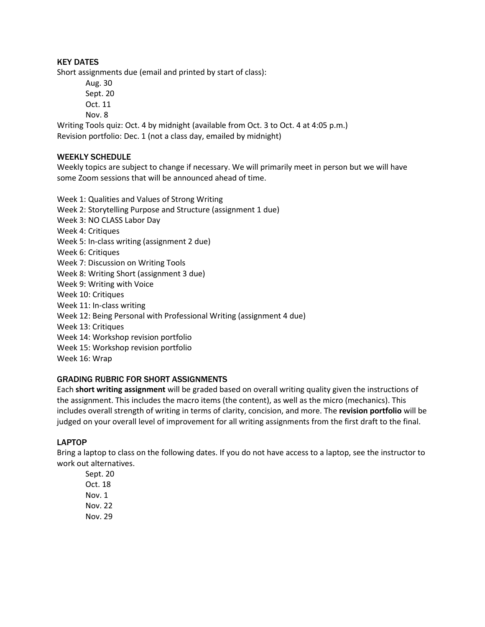# KEY DATES

Short assignments due (email and printed by start of class):

Aug. 30 Sept. 20 Oct. 11 Nov. 8

Writing Tools quiz: Oct. 4 by midnight (available from Oct. 3 to Oct. 4 at 4:05 p.m.) Revision portfolio: Dec. 1 (not a class day, emailed by midnight)

# WEEKLY SCHEDULE

Weekly topics are subject to change if necessary. We will primarily meet in person but we will have some Zoom sessions that will be announced ahead of time.

Week 1: Qualities and Values of Strong Writing Week 2: Storytelling Purpose and Structure (assignment 1 due) Week 3: NO CLASS Labor Day Week 4: Critiques Week 5: In-class writing (assignment 2 due) Week 6: Critiques Week 7: Discussion on Writing Tools Week 8: Writing Short (assignment 3 due) Week 9: Writing with Voice Week 10: Critiques Week 11: In-class writing Week 12: Being Personal with Professional Writing (assignment 4 due) Week 13: Critiques Week 14: Workshop revision portfolio Week 15: Workshop revision portfolio Week 16: Wrap

# GRADING RUBRIC FOR SHORT ASSIGNMENTS

Each **short writing assignment** will be graded based on overall writing quality given the instructions of the assignment. This includes the macro items (the content), as well as the micro (mechanics). This includes overall strength of writing in terms of clarity, concision, and more. The **revision portfolio** will be judged on your overall level of improvement for all writing assignments from the first draft to the final.

# LAPTOP

Bring a laptop to class on the following dates. If you do not have access to a laptop, see the instructor to work out alternatives.

Sept. 20 Oct. 18 Nov. 1 Nov. 22 Nov. 29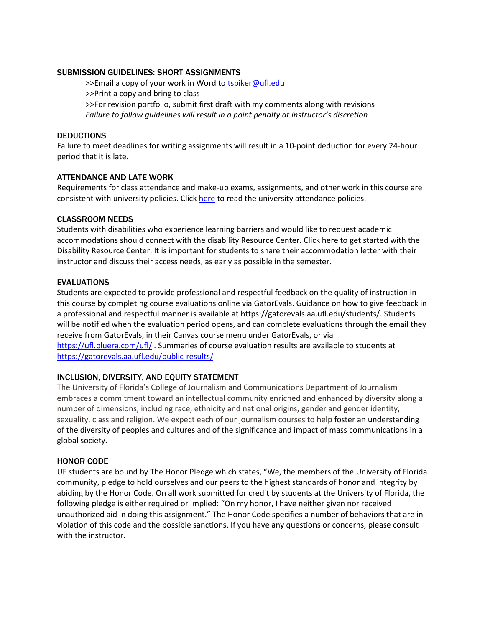# SUBMISSION GUIDELINES: SHORT ASSIGNMENTS

>>Email a copy of your work in Word to [tspiker@ufl.edu](mailto:tspiker@ufl.edu) >>Print a copy and bring to class >>For revision portfolio, submit first draft with my comments along with revisions *Failure to follow guidelines will result in a point penalty at instructor's discretion*

# **DEDUCTIONS**

Failure to meet deadlines for writing assignments will result in a 10-point deduction for every 24-hour period that it is late.

## ATTENDANCE AND LATE WORK

Requirements for class attendance and make-up exams, assignments, and other work in this course are consistent with university policies. Click [here](https://catalog.ufl.edu/UGRD/academic-regulations/attendance-policies/) to read the university attendance policies.

## CLASSROOM NEEDS

Students with disabilities who experience learning barriers and would like to request academic accommodations should connect with the disability Resource Center. Click here to get started with the Disability Resource Center. It is important for students to share their accommodation letter with their instructor and discuss their access needs, as early as possible in the semester.

## EVALUATIONS

Students are expected to provide professional and respectful feedback on the quality of instruction in this course by completing course evaluations online via GatorEvals. Guidance on how to give feedback in a professional and respectful manner is available at https://gatorevals.aa.ufl.edu/students/. Students will be notified when the evaluation period opens, and can complete evaluations through the email they receive from GatorEvals, in their Canvas course menu under GatorEvals, or via <https://ufl.bluera.com/ufl/> . Summaries of course evaluation results are available to students at

<https://gatorevals.aa.ufl.edu/public-results/>

# INCLUSION, DIVERSITY, AND EQUITY STATEMENT

The University of Florida's College of Journalism and Communications Department of Journalism embraces a commitment toward an intellectual community enriched and enhanced by diversity along a number of dimensions, including race, ethnicity and national origins, gender and gender identity, sexuality, class and religion. We expect each of our journalism courses to help foster an understanding of the diversity of peoples and cultures and of the significance and impact of mass communications in a global society.

# HONOR CODE

UF students are bound by The Honor Pledge which states, "We, the members of the University of Florida community, pledge to hold ourselves and our peers to the highest standards of honor and integrity by abiding by the Honor Code. On all work submitted for credit by students at the University of Florida, the following pledge is either required or implied: "On my honor, I have neither given nor received unauthorized aid in doing this assignment." The Honor Code specifies a number of behaviors that are in violation of this code and the possible sanctions. If you have any questions or concerns, please consult with the instructor.